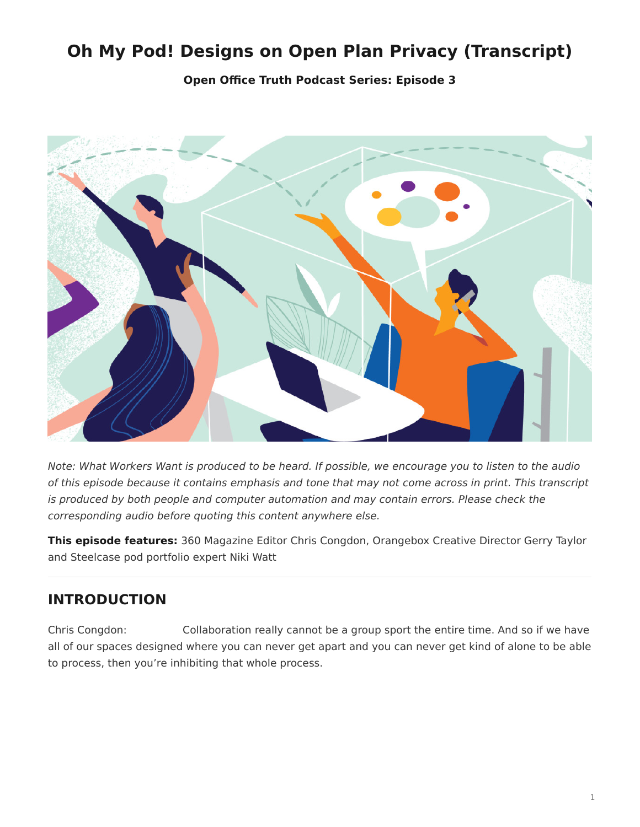# <span id="page-0-0"></span>**Oh My Pod! Designs on Open Plan Privacy (Transcript)**

**[Open Office Truth Podcast Series:](https://www.steelcase.com/research/openofficetruth) Episode 3**



*Note: What Workers Want is produced to be heard. If possible, we encourage you to listen to the audio of this episode because it contains emphasis and tone that may not come across in print. This transcript is produced by both people and computer automation and may contain errors. Please check the corresponding audio before quoting this content anywhere else.*

**This episode features:** 360 Magazine Editor Chris Congdon, Orangebox Creative Director Gerry Taylor and Steelcase pod portfolio expert Niki Watt

## **INTRODUCTION**

Chris Congdon: Collaboration really cannot be a group sport the entire time. And so if we have all of our spaces designed where you can never get apart and you can never get kind of alone to be able to process, then you're inhibiting that whole process.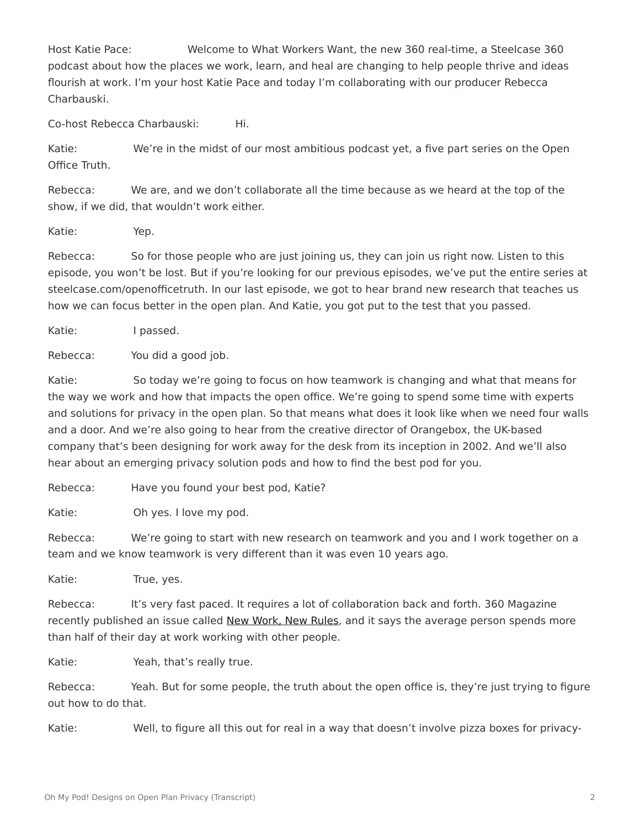Host Katie Pace: Welcome to What Workers Want, the new 360 real-time, a Steelcase 360 podcast about how the places we work, learn, and heal are changing to help people thrive and ideas flourish at work. I'm your host Katie Pace and today I'm collaborating with our producer Rebecca Charbauski.

Co-host Rebecca Charbauski: Hi.

Katie: We're in the midst of our most ambitious podcast yet, a five part series on the Open Office Truth.

Rebecca: We are, and we don't collaborate all the time because as we heard at the top of the show, if we did, that wouldn't work either.

Katie: Yep.

Rebecca: So for those people who are just joining us, they can join us right now. Listen to this episode, you won't be lost. But if you're looking for our previous episodes, we've put the entire series at steelcase.com/openofficetruth. In our last episode, we got to hear brand new research that teaches us how we can focus better in the open plan. And Katie, you got put to the test that you passed.

Katie: I passed.

Rebecca: You did a good job.

Katie: So today we're going to focus on how teamwork is changing and what that means for the way we work and how that impacts the open office. We're going to spend some time with experts and solutions for privacy in the open plan. So that means what does it look like when we need four walls and a door. And we're also going to hear from the creative director of Orangebox, the UK-based company that's been designing for work away for the desk from its inception in 2002. And we'll also hear about an emerging privacy solution pods and how to find the best pod for you.

Rebecca: Have you found your best pod, Katie?

Katie: Oh yes. I love my pod.

Rebecca: We're going to start with new research on teamwork and you and I work together on a team and we know teamwork is very different than it was even 10 years ago.

Katie: True, yes.

Rebecca: It's very fast paced. It requires a lot of collaboration back and forth. 360 Magazine recently published an issue called [New Work, New Rules](https://www.steelcase.com/research/360-magazine/new-work-new-rules/), and it says the average person spends more than half of their day at work working with other people.

Katie: Yeah, that's really true.

Rebecca: Yeah. But for some people, the truth about the open office is, they're just trying to figure out how to do that.

Katie: Well, to figure all this out for real in a way that doesn't involve pizza boxes for privacy-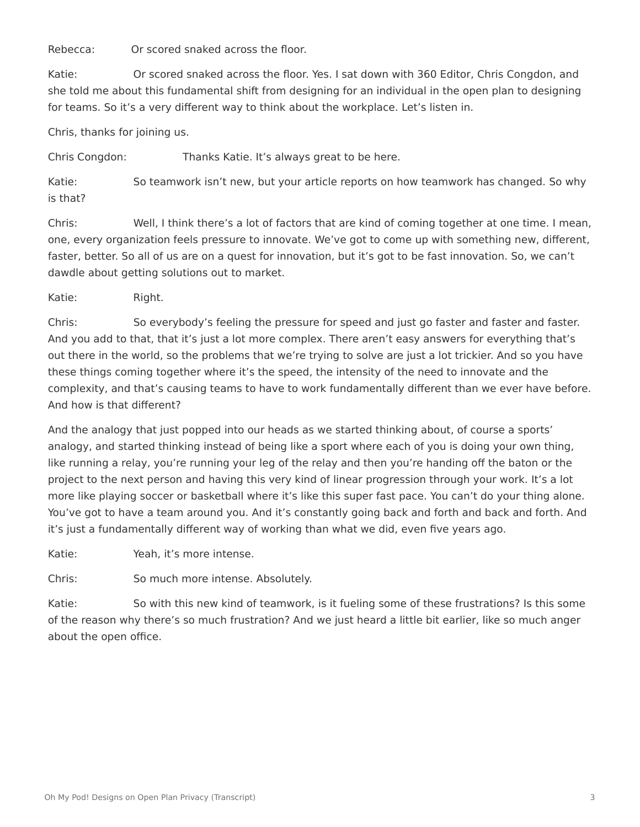Rebecca: Or scored snaked across the floor.

Katie: Or scored snaked across the floor. Yes. I sat down with 360 Editor, Chris Congdon, and she told me about this fundamental shift from designing for an individual in the open plan to designing for teams. So it's a very different way to think about the workplace. Let's listen in.

Chris, thanks for joining us.

Chris Congdon: Thanks Katie. It's always great to be here.

Katie: So teamwork isn't new, but your article reports on how teamwork has changed. So why is that?

Chris: Well, I think there's a lot of factors that are kind of coming together at one time. I mean, one, every organization feels pressure to innovate. We've got to come up with something new, different, faster, better. So all of us are on a quest for innovation, but it's got to be fast innovation. So, we can't dawdle about getting solutions out to market.

Katie: Right.

Chris: So everybody's feeling the pressure for speed and just go faster and faster and faster. And you add to that, that it's just a lot more complex. There aren't easy answers for everything that's out there in the world, so the problems that we're trying to solve are just a lot trickier. And so you have these things coming together where it's the speed, the intensity of the need to innovate and the complexity, and that's causing teams to have to work fundamentally different than we ever have before. And how is that different?

And the analogy that just popped into our heads as we started thinking about, of course a sports' analogy, and started thinking instead of being like a sport where each of you is doing your own thing, like running a relay, you're running your leg of the relay and then you're handing off the baton or the project to the next person and having this very kind of linear progression through your work. It's a lot more like playing soccer or basketball where it's like this super fast pace. You can't do your thing alone. You've got to have a team around you. And it's constantly going back and forth and back and forth. And it's just a fundamentally different way of working than what we did, even five years ago.

Katie: Yeah, it's more intense.

Chris: So much more intense. Absolutely.

Katie: So with this new kind of teamwork, is it fueling some of these frustrations? Is this some of the reason why there's so much frustration? And we just heard a little bit earlier, like so much anger about the open office.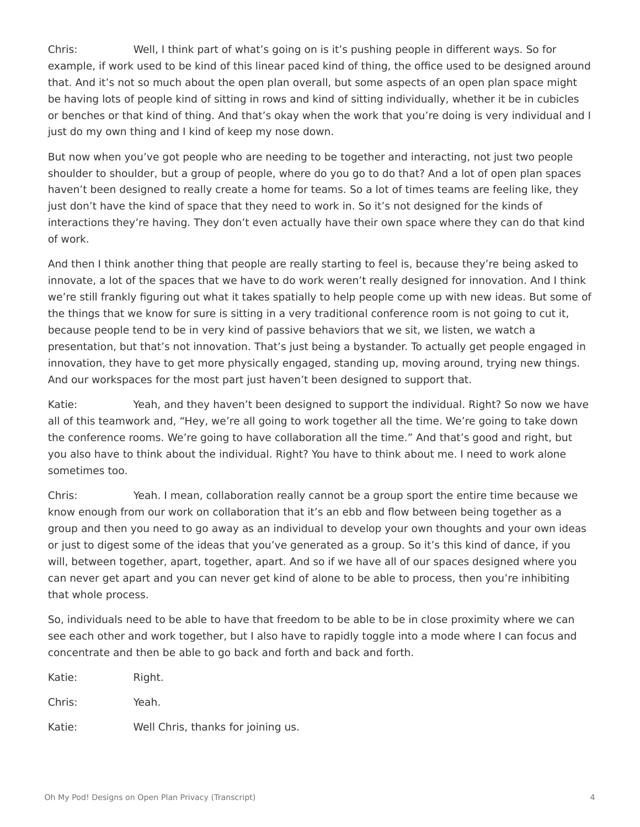Chris: Well, I think part of what's going on is it's pushing people in different ways. So for example, if work used to be kind of this linear paced kind of thing, the office used to be designed around that. And it's not so much about the open plan overall, but some aspects of an open plan space might be having lots of people kind of sitting in rows and kind of sitting individually, whether it be in cubicles or benches or that kind of thing. And that's okay when the work that you're doing is very individual and I just do my own thing and I kind of keep my nose down.

But now when you've got people who are needing to be together and interacting, not just two people shoulder to shoulder, but a group of people, where do you go to do that? And a lot of open plan spaces haven't been designed to really create a home for teams. So a lot of times teams are feeling like, they just don't have the kind of space that they need to work in. So it's not designed for the kinds of interactions they're having. They don't even actually have their own space where they can do that kind of work.

And then I think another thing that people are really starting to feel is, because they're being asked to innovate, a lot of the spaces that we have to do work weren't really designed for innovation. And I think we're still frankly figuring out what it takes spatially to help people come up with new ideas. But some of the things that we know for sure is sitting in a very traditional conference room is not going to cut it, because people tend to be in very kind of passive behaviors that we sit, we listen, we watch a presentation, but that's not innovation. That's just being a bystander. To actually get people engaged in innovation, they have to get more physically engaged, standing up, moving around, trying new things. And our workspaces for the most part just haven't been designed to support that.

Katie: Yeah, and they haven't been designed to support the individual. Right? So now we have all of this teamwork and, "Hey, we're all going to work together all the time. We're going to take down the conference rooms. We're going to have collaboration all the time." And that's good and right, but you also have to think about the individual. Right? You have to think about me. I need to work alone sometimes too.

Chris: Yeah. I mean, collaboration really cannot be a group sport the entire time because we know enough from our work on collaboration that it's an ebb and flow between being together as a group and then you need to go away as an individual to develop your own thoughts and your own ideas or just to digest some of the ideas that you've generated as a group. So it's this kind of dance, if you will, between together, apart, together, apart. And so if we have all of our spaces designed where you can never get apart and you can never get kind of alone to be able to process, then you're inhibiting that whole process.

So, individuals need to be able to have that freedom to be able to be in close proximity where we can see each other and work together, but I also have to rapidly toggle into a mode where I can focus and concentrate and then be able to go back and forth and back and forth.

| Katie: | Right.                             |
|--------|------------------------------------|
| Chris: | Yeah.                              |
| Katie: | Well Chris, thanks for joining us. |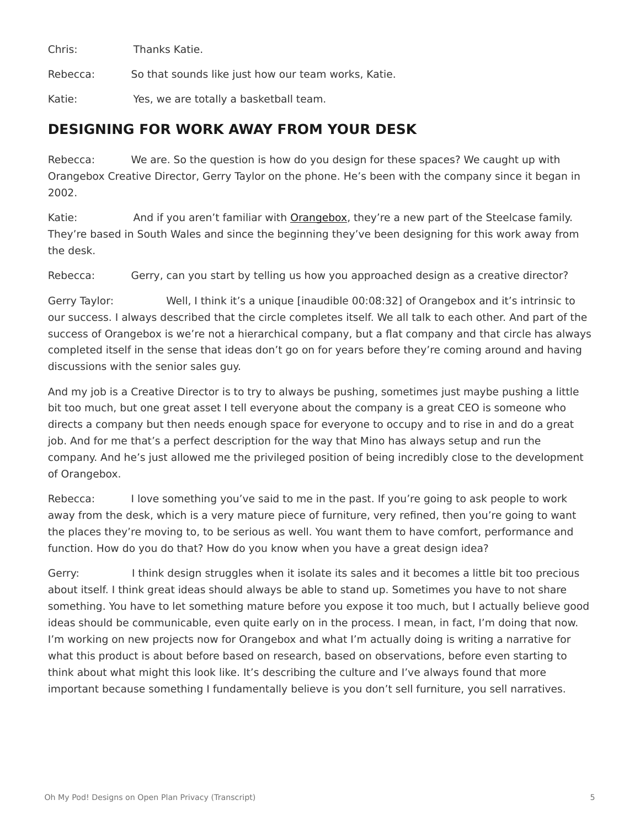Chris: Thanks Katie.

Rebecca: So that sounds like just how our team works, Katie.

Katie: Yes, we are totally a basketball team.

#### **DESIGNING FOR WORK AWAY FROM YOUR DESK**

Rebecca: We are. So the question is how do you design for these spaces? We caught up with Orangebox Creative Director, Gerry Taylor on the phone. He's been with the company since it began in 2002.

Katie: And if you aren't familiar with **[Orangebox](https://www.steelcase.com/brands/orangebox/)**, they're a new part of the Steelcase family. They're based in South Wales and since the beginning they've been designing for this work away from the desk.

Rebecca: Gerry, can you start by telling us how you approached design as a creative director?

Gerry Taylor: Well, I think it's a unique [inaudible 00:08:32] of Orangebox and it's intrinsic to our success. I always described that the circle completes itself. We all talk to each other. And part of the success of Orangebox is we're not a hierarchical company, but a flat company and that circle has always completed itself in the sense that ideas don't go on for years before they're coming around and having discussions with the senior sales guy.

And my job is a Creative Director is to try to always be pushing, sometimes just maybe pushing a little bit too much, but one great asset I tell everyone about the company is a great CEO is someone who directs a company but then needs enough space for everyone to occupy and to rise in and do a great job. And for me that's a perfect description for the way that Mino has always setup and run the company. And he's just allowed me the privileged position of being incredibly close to the development of Orangebox.

Rebecca: I love something you've said to me in the past. If you're going to ask people to work away from the desk, which is a very mature piece of furniture, very refined, then you're going to want the places they're moving to, to be serious as well. You want them to have comfort, performance and function. How do you do that? How do you know when you have a great design idea?

Gerry: I think design struggles when it isolate its sales and it becomes a little bit too precious about itself. I think great ideas should always be able to stand up. Sometimes you have to not share something. You have to let something mature before you expose it too much, but I actually believe good ideas should be communicable, even quite early on in the process. I mean, in fact, I'm doing that now. I'm working on new projects now for Orangebox and what I'm actually doing is writing a narrative for what this product is about before based on research, based on observations, before even starting to think about what might this look like. It's describing the culture and I've always found that more important because something I fundamentally believe is you don't sell furniture, you sell narratives.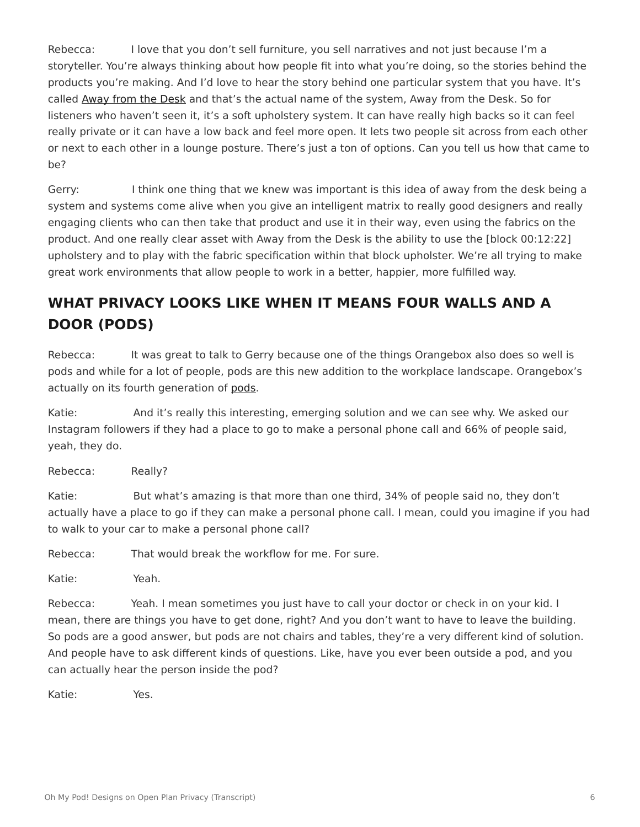Rebecca: I love that you don't sell furniture, you sell narratives and not just because I'm a storyteller. You're always thinking about how people fit into what you're doing, so the stories behind the products you're making. And I'd love to hear the story behind one particular system that you have. It's called [Away from the Desk](https://www.steelcase.com/products/lounge-seating/away-from-the-desk/) and that's the actual name of the system, Away from the Desk. So for listeners who haven't seen it, it's a soft upholstery system. It can have really high backs so it can feel really private or it can have a low back and feel more open. It lets two people sit across from each other or next to each other in a lounge posture. There's just a ton of options. Can you tell us how that came to be?

Gerry: I think one thing that we knew was important is this idea of away from the desk being a system and systems come alive when you give an intelligent matrix to really good designers and really engaging clients who can then take that product and use it in their way, even using the fabrics on the product. And one really clear asset with Away from the Desk is the ability to use the [block 00:12:22] upholstery and to play with the fabric specification within that block upholster. We're all trying to make great work environments that allow people to work in a better, happier, more fulfilled way.

## **WHAT PRIVACY LOOKS LIKE WHEN IT MEANS FOUR WALLS AND A DOOR (PODS)**

Rebecca: It was great to talk to Gerry because one of the things Orangebox also does so well is pods and while for a lot of people, pods are this new addition to the workplace landscape. Orangebox's actually on its fourth generation of [pods.](https://www.steelcase.com/products/pods/air3/)

Katie: And it's really this interesting, emerging solution and we can see why. We asked our Instagram followers if they had a place to go to make a personal phone call and 66% of people said, yeah, they do.

Rebecca: Really?

Katie: But what's amazing is that more than one third, 34% of people said no, they don't actually have a place to go if they can make a personal phone call. I mean, could you imagine if you had to walk to your car to make a personal phone call?

Rebecca: That would break the workflow for me. For sure.

Katie: Yeah.

Rebecca: Yeah. I mean sometimes you just have to call your doctor or check in on your kid. I mean, there are things you have to get done, right? And you don't want to have to leave the building. So pods are a good answer, but pods are not chairs and tables, they're a very different kind of solution. And people have to ask different kinds of questions. Like, have you ever been outside a pod, and you can actually hear the person inside the pod?

Katie: Yes.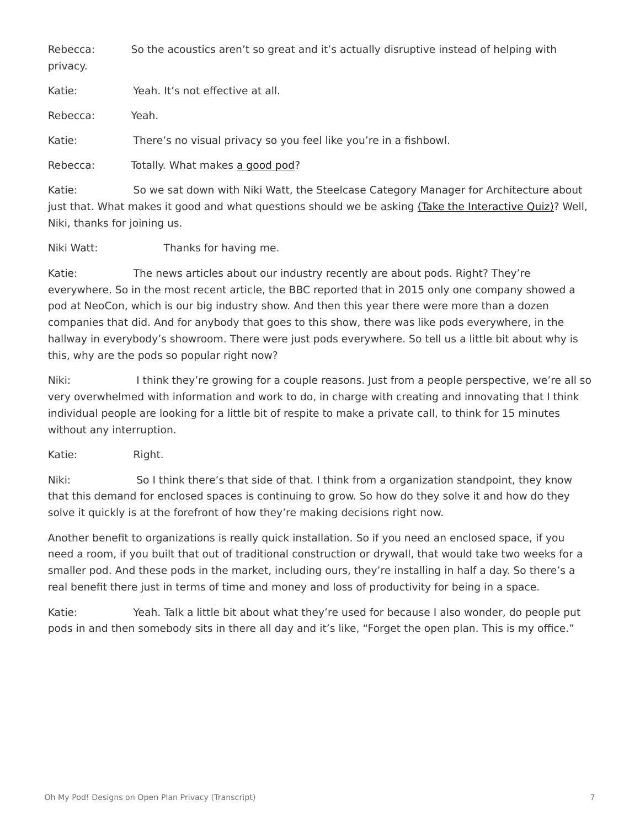Rebecca: So the acoustics aren't so great and it's actually disruptive instead of helping with privacy.

Katie: Yeah. It's not effective at all. Rebecca: Yeah. Katie: There's no visual privacy so you feel like you're in a fishbowl.

Rebecca: Totally. What makes [a good pod](https://www.steelcase.com/pods/)?

Katie: So we sat down with Niki Watt, the Steelcase Category Manager for Architecture about just that. What makes it good and what questions should we be asking [\(Take the Interactive Quiz\)](https://www.steelcase.com/steelcase-pods-quiz/)? Well, Niki, thanks for joining us.

Niki Watt: Thanks for having me.

Katie: The news articles about our industry recently are about pods. Right? They're everywhere. So in the most recent article, the BBC reported that in 2015 only one company showed a pod at NeoCon, which is our big industry show. And then this year there were more than a dozen companies that did. And for anybody that goes to this show, there was like pods everywhere, in the hallway in everybody's showroom. There were just pods everywhere. So tell us a little bit about why is this, why are the pods so popular right now?

Niki: I think they're growing for a couple reasons. Just from a people perspective, we're all so very overwhelmed with information and work to do, in charge with creating and innovating that I think individual people are looking for a little bit of respite to make a private call, to think for 15 minutes without any interruption.

Katie: Right.

Niki: So I think there's that side of that. I think from a organization standpoint, they know that this demand for enclosed spaces is continuing to grow. So how do they solve it and how do they solve it quickly is at the forefront of how they're making decisions right now.

Another benefit to organizations is really quick installation. So if you need an enclosed space, if you need a room, if you built that out of traditional construction or drywall, that would take two weeks for a smaller pod. And these pods in the market, including ours, they're installing in half a day. So there's a real benefit there just in terms of time and money and loss of productivity for being in a space.

Katie: Yeah. Talk a little bit about what they're used for because I also wonder, do people put pods in and then somebody sits in there all day and it's like, "Forget the open plan. This is my office."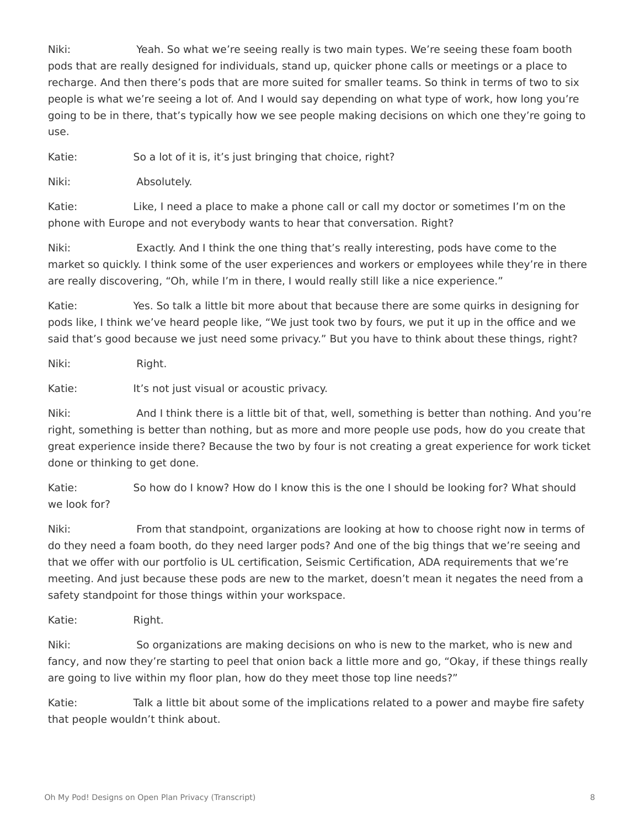Niki: Yeah. So what we're seeing really is two main types. We're seeing these foam booth pods that are really designed for individuals, stand up, quicker phone calls or meetings or a place to recharge. And then there's pods that are more suited for smaller teams. So think in terms of two to six people is what we're seeing a lot of. And I would say depending on what type of work, how long you're going to be in there, that's typically how we see people making decisions on which one they're going to use.

Katie: So a lot of it is, it's just bringing that choice, right?

Niki: Absolutely.

Katie: Like, I need a place to make a phone call or call my doctor or sometimes I'm on the phone with Europe and not everybody wants to hear that conversation. Right?

Niki: Exactly. And I think the one thing that's really interesting, pods have come to the market so quickly. I think some of the user experiences and workers or employees while they're in there are really discovering, "Oh, while I'm in there, I would really still like a nice experience."

Katie: Yes. So talk a little bit more about that because there are some quirks in designing for pods like, I think we've heard people like, "We just took two by fours, we put it up in the office and we said that's good because we just need some privacy." But you have to think about these things, right?

Niki: Right.

Katie: It's not just visual or acoustic privacy.

Niki: And I think there is a little bit of that, well, something is better than nothing. And you're right, something is better than nothing, but as more and more people use pods, how do you create that great experience inside there? Because the two by four is not creating a great experience for work ticket done or thinking to get done.

Katie: So how do I know? How do I know this is the one I should be looking for? What should we look for?

Niki: From that standpoint, organizations are looking at how to choose right now in terms of do they need a foam booth, do they need larger pods? And one of the big things that we're seeing and that we offer with our portfolio is UL certification, Seismic Certification, ADA requirements that we're meeting. And just because these pods are new to the market, doesn't mean it negates the need from a safety standpoint for those things within your workspace.

Katie: Right.

Niki: So organizations are making decisions on who is new to the market, who is new and fancy, and now they're starting to peel that onion back a little more and go, "Okay, if these things really are going to live within my floor plan, how do they meet those top line needs?"

Katie: Talk a little bit about some of the implications related to a power and maybe fire safety that people wouldn't think about.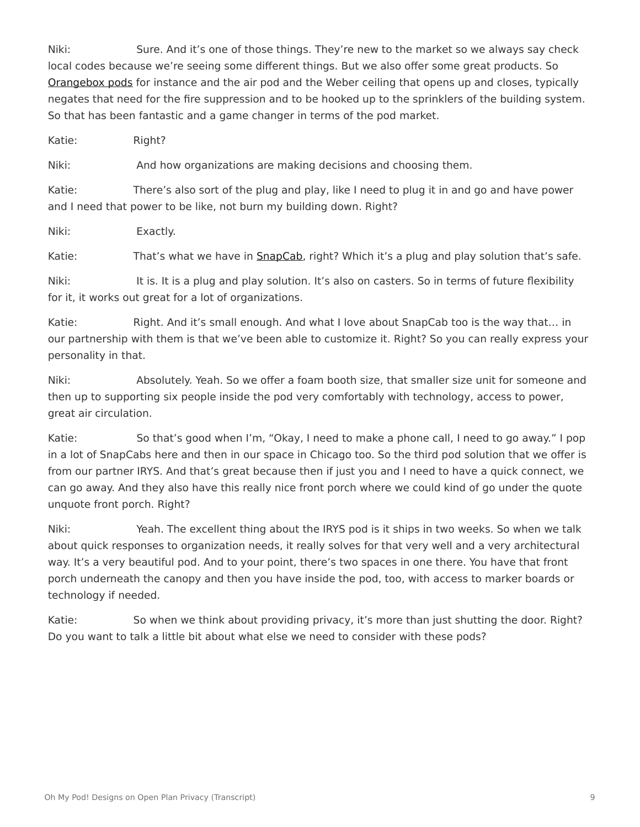Niki: Sure. And it's one of those things. They're new to the market so we always say check local codes because we're seeing some different things. But we also offer some great products. So [Orangebox pods](https://www.steelcase.com/products/pods/air3/) for instance and the air pod and the Weber ceiling that opens up and closes, typically negates that need for the fire suppression and to be hooked up to the sprinklers of the building system. So that has been fantastic and a game changer in terms of the pod market.

Katie: Right?

Niki: And how organizations are making decisions and choosing them.

Katie: There's also sort of the plug and play, like I need to plug it in and go and have power and I need that power to be like, not burn my building down. Right?

Niki: Exactly.

Katie: That's what we have in **SnapCab**, right? Which it's a plug and play solution that's safe.

Niki: It is. It is a plug and play solution. It's also on casters. So in terms of future flexibility for it, it works out great for a lot of organizations.

Katie: Right. And it's small enough. And what I love about SnapCab too is the way that... in our partnership with them is that we've been able to customize it. Right? So you can really express your personality in that.

Niki: Absolutely. Yeah. So we offer a foam booth size, that smaller size unit for someone and then up to supporting six people inside the pod very comfortably with technology, access to power, great air circulation.

Katie: So that's good when I'm, "Okay, I need to make a phone call, I need to go away." I pop in a lot of SnapCabs here and then in our space in Chicago too. So the third pod solution that we offer is from our partner IRYS. And that's great because then if just you and I need to have a quick connect, we can go away. And they also have this really nice front porch where we could kind of go under the quote unquote front porch. Right?

Niki: Yeah. The excellent thing about the IRYS pod is it ships in two weeks. So when we talk about quick responses to organization needs, it really solves for that very well and a very architectural way. It's a very beautiful pod. And to your point, there's two spaces in one there. You have that front porch underneath the canopy and then you have inside the pod, too, with access to marker boards or technology if needed.

Katie: So when we think about providing privacy, it's more than just shutting the door. Right? Do you want to talk a little bit about what else we need to consider with these pods?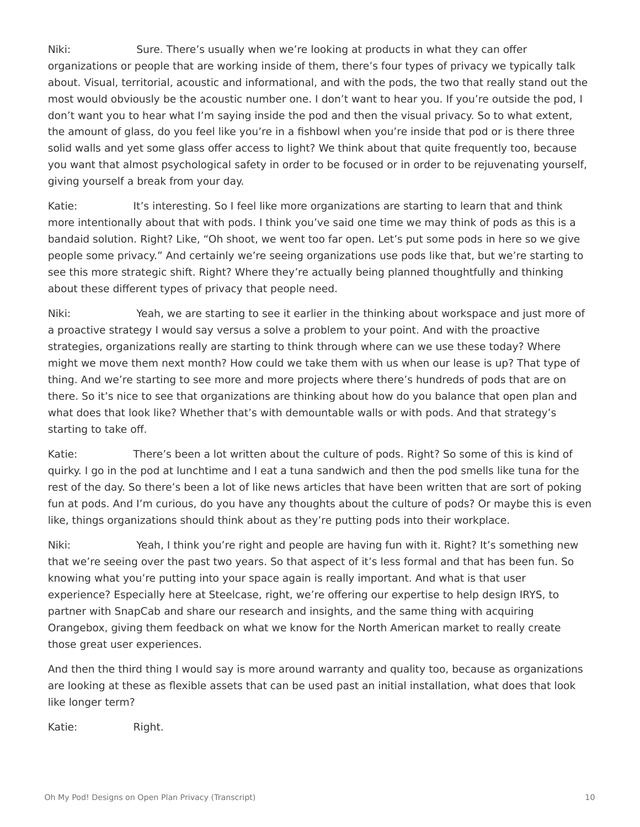Niki: Sure. There's usually when we're looking at products in what they can offer organizations or people that are working inside of them, there's four types of privacy we typically talk about. Visual, territorial, acoustic and informational, and with the pods, the two that really stand out the most would obviously be the acoustic number one. I don't want to hear you. If you're outside the pod, I don't want you to hear what I'm saying inside the pod and then the visual privacy. So to what extent, the amount of glass, do you feel like you're in a fishbowl when you're inside that pod or is there three solid walls and yet some glass offer access to light? We think about that quite frequently too, because you want that almost psychological safety in order to be focused or in order to be rejuvenating yourself, giving yourself a break from your day.

Katie: It's interesting. So I feel like more organizations are starting to learn that and think more intentionally about that with pods. I think you've said one time we may think of pods as this is a bandaid solution. Right? Like, "Oh shoot, we went too far open. Let's put some pods in here so we give people some privacy." And certainly we're seeing organizations use pods like that, but we're starting to see this more strategic shift. Right? Where they're actually being planned thoughtfully and thinking about these different types of privacy that people need.

Niki: Yeah, we are starting to see it earlier in the thinking about workspace and just more of a proactive strategy I would say versus a solve a problem to your point. And with the proactive strategies, organizations really are starting to think through where can we use these today? Where might we move them next month? How could we take them with us when our lease is up? That type of thing. And we're starting to see more and more projects where there's hundreds of pods that are on there. So it's nice to see that organizations are thinking about how do you balance that open plan and what does that look like? Whether that's with demountable walls or with pods. And that strategy's starting to take off.

Katie: There's been a lot written about the culture of pods. Right? So some of this is kind of quirky. I go in the pod at lunchtime and I eat a tuna sandwich and then the pod smells like tuna for the rest of the day. So there's been a lot of like news articles that have been written that are sort of poking fun at pods. And I'm curious, do you have any thoughts about the culture of pods? Or maybe this is even like, things organizations should think about as they're putting pods into their workplace.

Niki: Yeah, I think you're right and people are having fun with it. Right? It's something new that we're seeing over the past two years. So that aspect of it's less formal and that has been fun. So knowing what you're putting into your space again is really important. And what is that user experience? Especially here at Steelcase, right, we're offering our expertise to help design IRYS, to partner with SnapCab and share our research and insights, and the same thing with acquiring Orangebox, giving them feedback on what we know for the North American market to really create those great user experiences.

And then the third thing I would say is more around warranty and quality too, because as organizations are looking at these as flexible assets that can be used past an initial installation, what does that look like longer term?

Katie: Right.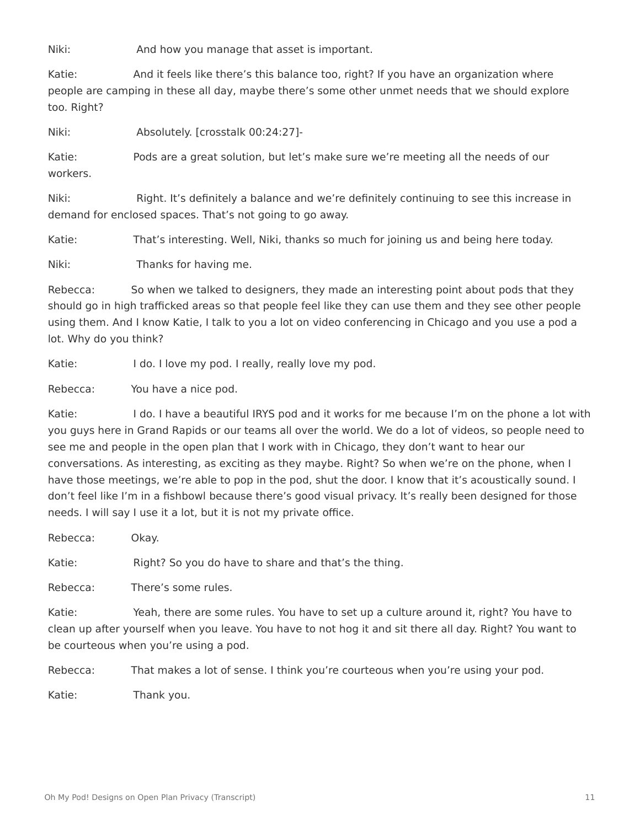Niki: And how you manage that asset is important.

Katie: And it feels like there's this balance too, right? If you have an organization where people are camping in these all day, maybe there's some other unmet needs that we should explore too. Right?

Niki: Absolutely. [crosstalk 00:24:27]-

Katie: Pods are a great solution, but let's make sure we're meeting all the needs of our workers.

Niki: Right. It's definitely a balance and we're definitely continuing to see this increase in demand for enclosed spaces. That's not going to go away.

Katie: That's interesting. Well, Niki, thanks so much for joining us and being here today.

Niki: Thanks for having me.

Rebecca: So when we talked to designers, they made an interesting point about pods that they should go in high trafficked areas so that people feel like they can use them and they see other people using them. And I know Katie, I talk to you a lot on video conferencing in Chicago and you use a pod a lot. Why do you think?

Katie: I do. I love my pod. I really, really love my pod.

Rebecca: You have a nice pod.

Katie: I do. I have a beautiful IRYS pod and it works for me because I'm on the phone a lot with you guys here in Grand Rapids or our teams all over the world. We do a lot of videos, so people need to see me and people in the open plan that I work with in Chicago, they don't want to hear our conversations. As interesting, as exciting as they maybe. Right? So when we're on the phone, when I have those meetings, we're able to pop in the pod, shut the door. I know that it's acoustically sound. I don't feel like I'm in a fishbowl because there's good visual privacy. It's really been designed for those needs. I will say I use it a lot, but it is not my private office.

Rebecca: Okay.

Katie: Right? So you do have to share and that's the thing.

Rebecca: There's some rules.

Katie: Yeah, there are some rules. You have to set up a culture around it, right? You have to clean up after yourself when you leave. You have to not hog it and sit there all day. Right? You want to be courteous when you're using a pod.

Rebecca: That makes a lot of sense. I think you're courteous when you're using your pod.

Katie: Thank you.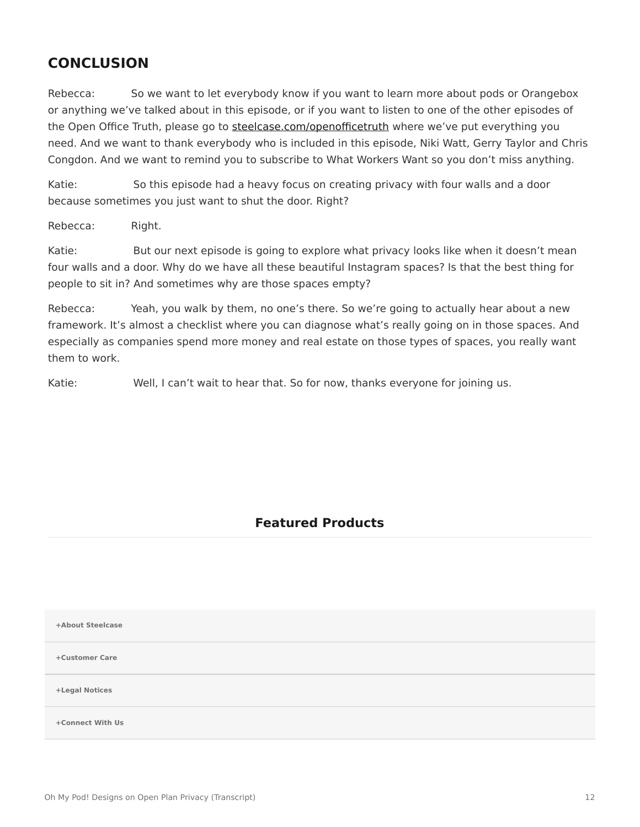### **CONCLUSION**

Rebecca: So we want to let everybody know if you want to learn more about pods or Orangebox or anything we've talked about in this episode, or if you want to listen to one of the other episodes of the Open Office Truth, please go to [steelcase.com/openofficetruth](http://www.steelcase.com/openofficetruth) where we've put everything you need. And we want to thank everybody who is included in this episode, Niki Watt, Gerry Taylor and Chris Congdon. And we want to remind you to subscribe to What Workers Want so you don't miss anything.

Katie: So this episode had a heavy focus on creating privacy with four walls and a door because sometimes you just want to shut the door. Right?

Rebecca: Right.

Katie: But our next episode is going to explore what privacy looks like when it doesn't mean four walls and a door. Why do we have all these beautiful Instagram spaces? Is that the best thing for people to sit in? And sometimes why are those spaces empty?

Rebecca: Yeah, you walk by them, no one's there. So we're going to actually hear about a new framework. It's almost a checklist where you can diagnose what's really going on in those spaces. And especially as companies spend more money and real estate on those types of spaces, you really want them to work.

Katie: Well, I can't wait to hear that. So for now, thanks everyone for joining us.

#### **Featured Products**

**[+About Steelcase](https://www.steelcase.com/discover/steelcase/our-company/)**

**[+Customer Care](#page-0-0)**

**[+Legal Notices](#page-0-0)**

**[Connect With Us](https://www.steelcase.com/find-us/social-media/) [+](https://www.steelcase.com/find-us/social-media/)**